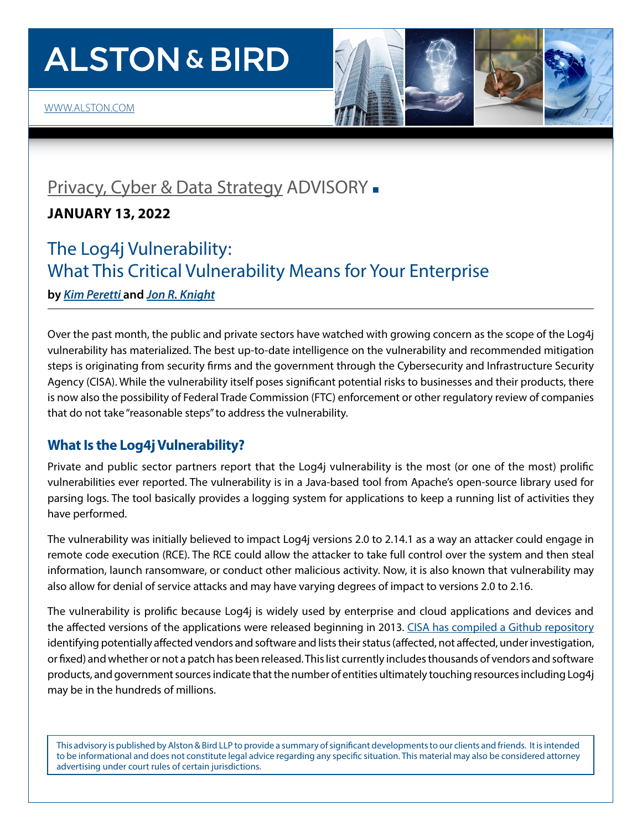# **ALSTON & BIRD**

[WWW.ALSTON.COM](http://www.alston.com)



### [Privacy, Cyber & Data Strategy](https://www.alston.com/en/services/practices/corporate--finance/privacy--data-security) ADVISORY -

**JANUARY 13, 2022**

## The Log4j Vulnerability: What This Critical Vulnerability Means for Your Enterprise

**by** *[Kim Peretti](https://www.alston.com/en/professionals/p/peretti-kimberly-kiefer)* **and** *[Jon R. Knight](https://www.alston.com/en/professionals/k/knight-jon)*

Over the past month, the public and private sectors have watched with growing concern as the scope of the Log4j vulnerability has materialized. The best up-to-date intelligence on the vulnerability and recommended mitigation steps is originating from security firms and the government through the Cybersecurity and Infrastructure Security Agency (CISA). While the vulnerability itself poses significant potential risks to businesses and their products, there is now also the possibility of Federal Trade Commission (FTC) enforcement or other regulatory review of companies that do not take "reasonable steps" to address the vulnerability.

#### **What Is the Log4j Vulnerability?**

Private and public sector partners report that the Log4j vulnerability is the most (or one of the most) prolific vulnerabilities ever reported. The vulnerability is in a Java-based tool from Apache's open-source library used for parsing logs. The tool basically provides a logging system for applications to keep a running list of activities they have performed.

The vulnerability was initially believed to impact Log4j versions 2.0 to 2.14.1 as a way an attacker could engage in remote code execution (RCE). The RCE could allow the attacker to take full control over the system and then steal information, launch ransomware, or conduct other malicious activity. Now, it is also known that vulnerability may also allow for denial of service attacks and may have varying degrees of impact to versions 2.0 to 2.16.

The vulnerability is prolific because Log4j is widely used by enterprise and cloud applications and devices and the affected versions of the applications were released beginning in 2013. [CISA has compiled a Github repository](https://github.com/cisagov/log4j-affected-db/blob/develop/SOFTWARE-LIST.md) identifying potentially affected vendors and software and lists their status (affected, not affected, under investigation, or fixed) and whether or not a patch has been released. This list currently includes thousands of vendors and software products, and government sources indicate that the number of entities ultimately touching resources including Log4j may be in the hundreds of millions.

This advisory is published by Alston & Bird LLP to provide a summary of significant developments to our clients and friends. It is intended to be informational and does not constitute legal advice regarding any specific situation. This material may also be considered attorney advertising under court rules of certain jurisdictions.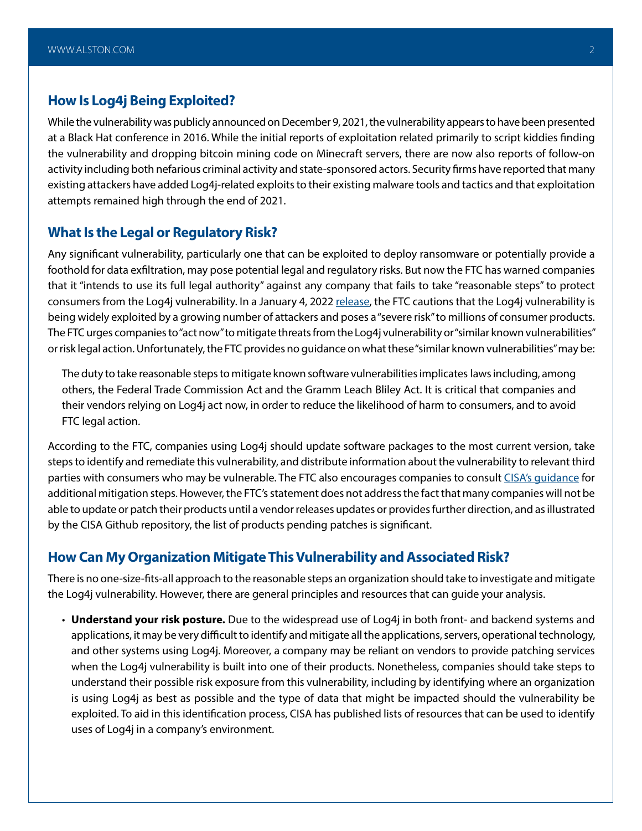#### **How Is Log4j Being Exploited?**

While the vulnerability was publicly announced on December 9, 2021, the vulnerability appears to have been presented at a Black Hat conference in 2016. While the initial reports of exploitation related primarily to script kiddies finding the vulnerability and dropping bitcoin mining code on Minecraft servers, there are now also reports of follow-on activity including both nefarious criminal activity and state-sponsored actors. Security firms have reported that many existing attackers have added Log4j-related exploits to their existing malware tools and tactics and that exploitation attempts remained high through the end of 2021.

#### **What Is the Legal or Regulatory Risk?**

Any significant vulnerability, particularly one that can be exploited to deploy ransomware or potentially provide a foothold for data exfiltration, may pose potential legal and regulatory risks. But now the FTC has warned companies that it "intends to use its full legal authority" against any company that fails to take "reasonable steps" to protect consumers from the Log4j vulnerability. In a January 4, 2022 [release,](https://www.ftc.gov/news-events/blogs/techftc/2022/01/ftc-warns-companies-remediate-log4j-security-vulnerability) the FTC cautions that the Log4j vulnerability is being widely exploited by a growing number of attackers and poses a "severe risk" to millions of consumer products. The FTC urges companies to "act now" to mitigate threats from the Log4j vulnerability or "similar known vulnerabilities" or risk legal action. Unfortunately, the FTC provides no guidance on what these "similar known vulnerabilities" may be:

The duty to take reasonable steps to mitigate known software vulnerabilities implicates laws including, among others, the Federal Trade Commission Act and the Gramm Leach Bliley Act. It is critical that companies and their vendors relying on Log4j act now, in order to reduce the likelihood of harm to consumers, and to avoid FTC legal action.

According to the FTC, companies using Log4j should update software packages to the most current version, take steps to identify and remediate this vulnerability, and distribute information about the vulnerability to relevant third parties with consumers who may be vulnerable. The FTC also encourages companies to consult CISA's quidance for additional mitigation steps. However, the FTC's statement does not address the fact that many companies will not be able to update or patch their products until a vendor releases updates or provides further direction, and as illustrated by the CISA Github repository, the list of products pending patches is significant.

#### **How Can My Organization Mitigate This Vulnerability and Associated Risk?**

There is no one-size-fits-all approach to the reasonable steps an organization should take to investigate and mitigate the Log4j vulnerability. However, there are general principles and resources that can guide your analysis.

• **Understand your risk posture.** Due to the widespread use of Log4j in both front- and backend systems and applications, it may be very difficult to identify and mitigate all the applications, servers, operational technology, and other systems using Log4j. Moreover, a company may be reliant on vendors to provide patching services when the Log4j vulnerability is built into one of their products. Nonetheless, companies should take steps to understand their possible risk exposure from this vulnerability, including by identifying where an organization is using Log4j as best as possible and the type of data that might be impacted should the vulnerability be exploited. To aid in this identification process, CISA has published lists of resources that can be used to identify uses of Log4j in a company's environment.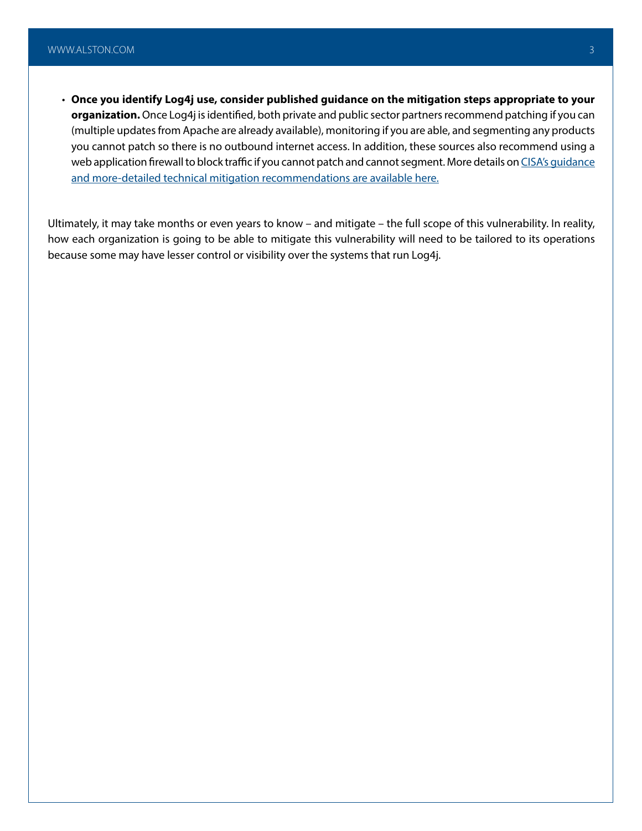• **Once you identify Log4j use, consider published guidance on the mitigation steps appropriate to your organization.** Once Log4j is identified, both private and public sector partners recommend patching if you can (multiple updates from Apache are already available), monitoring if you are able, and segmenting any products you cannot patch so there is no outbound internet access. In addition, these sources also recommend using a web application firewall to block traffic if you cannot patch and cannot segment. More details on CISA's quidance [and more-detailed technical mitigation recommendations are available here](https://www.cisa.gov/uscert/ncas/alerts/aa21-356a).

Ultimately, it may take months or even years to know – and mitigate – the full scope of this vulnerability. In reality, how each organization is going to be able to mitigate this vulnerability will need to be tailored to its operations because some may have lesser control or visibility over the systems that run Log4j.